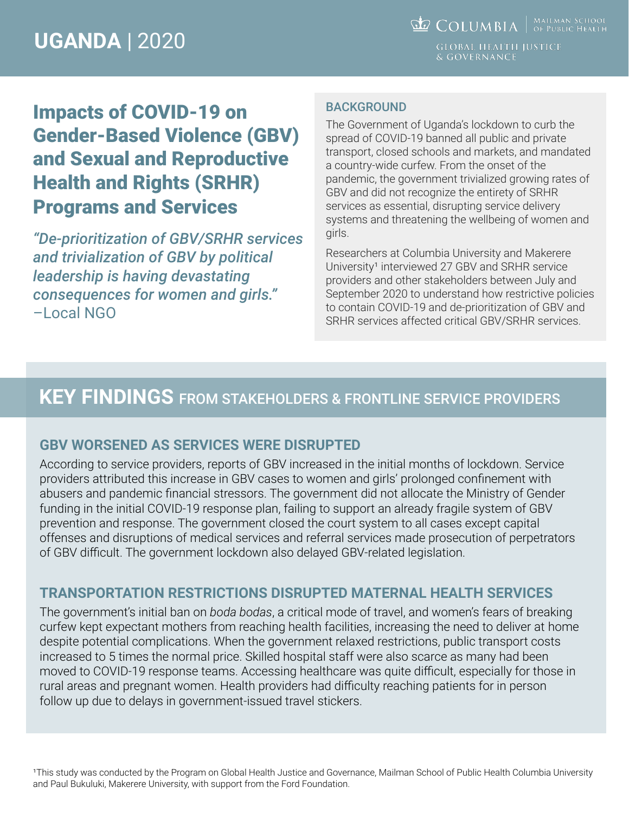**COLUMBIA** WAILMAN SCHOOL & GOVERNANCE

## Impacts of COVID-19 on Gender-Based Violence (GBV) and Sexual and Reproductive Health and Rights (SRHR) Programs and Services

*"De-prioritization of GBV/SRHR services and trivialization of GBV by political leadership is having devastating consequences for women and girls."*  –Local NGO

#### BACKGROUND

The Government of Uganda's lockdown to curb the spread of COVID-19 banned all public and private transport, closed schools and markets, and mandated a country-wide curfew. From the onset of the pandemic, the government trivialized growing rates of GBV and did not recognize the entirety of SRHR services as essential, disrupting service delivery systems and threatening the wellbeing of women and girls.

Researchers at Columbia University and Makerere University<sup>1</sup> interviewed 27 GBV and SRHR service providers and other stakeholders between July and September 2020 to understand how restrictive policies to contain COVID-19 and de-prioritization of GBV and SRHR services affected critical GBV/SRHR services.

### **KEY FINDINGS** FROM STAKEHOLDERS & FRONTLINE SERVICE PROVIDERS

#### **GBV WORSENED AS SERVICES WERE DISRUPTED**

According to service providers, reports of GBV increased in the initial months of lockdown. Service providers attributed this increase in GBV cases to women and girls' prolonged confinement with abusers and pandemic financial stressors. The government did not allocate the Ministry of Gender funding in the initial COVID-19 response plan, failing to support an already fragile system of GBV prevention and response. The government closed the court system to all cases except capital offenses and disruptions of medical services and referral services made prosecution of perpetrators of GBV difficult. The government lockdown also delayed GBV-related legislation.

#### **TRANSPORTATION RESTRICTIONS DISRUPTED MATERNAL HEALTH SERVICES**

The government's initial ban on *boda bodas*, a critical mode of travel, and women's fears of breaking curfew kept expectant mothers from reaching health facilities, increasing the need to deliver at home despite potential complications. When the government relaxed restrictions, public transport costs increased to 5 times the normal price. Skilled hospital staff were also scarce as many had been moved to COVID-19 response teams. Accessing healthcare was quite difficult, especially for those in rural areas and pregnant women. Health providers had difficulty reaching patients for in person follow up due to delays in government-issued travel stickers.

This study was conducted by the Program on Global Health Justice and Governance, Mailman School of Public Health Columbia University and Paul Bukuluki, Makerere University, with support from the Ford Foundation.